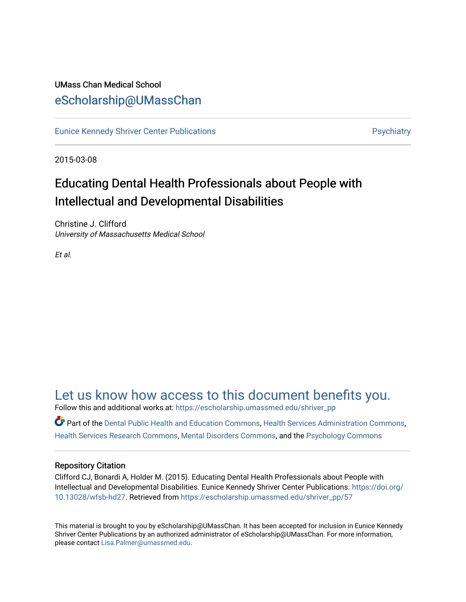### UMass Chan Medical School [eScholarship@UMassChan](https://escholarship.umassmed.edu/)

[Eunice Kennedy Shriver Center Publications](https://escholarship.umassmed.edu/shriver_pp) **Provides and Contact Automobile Providence** Psychiatry

2015-03-08

## Educating Dental Health Professionals about People with Intellectual and Developmental Disabilities

Christine J. Clifford University of Massachusetts Medical School

Et al.

### [Let us know how access to this document benefits you.](https://arcsapps.umassmed.edu/redcap/surveys/?s=XWRHNF9EJE)

Follow this and additional works at: [https://escholarship.umassmed.edu/shriver\\_pp](https://escholarship.umassmed.edu/shriver_pp?utm_source=escholarship.umassmed.edu%2Fshriver_pp%2F57&utm_medium=PDF&utm_campaign=PDFCoverPages)

Part of the [Dental Public Health and Education Commons,](http://network.bepress.com/hgg/discipline/653?utm_source=escholarship.umassmed.edu%2Fshriver_pp%2F57&utm_medium=PDF&utm_campaign=PDFCoverPages) [Health Services Administration Commons,](http://network.bepress.com/hgg/discipline/747?utm_source=escholarship.umassmed.edu%2Fshriver_pp%2F57&utm_medium=PDF&utm_campaign=PDFCoverPages) [Health Services Research Commons,](http://network.bepress.com/hgg/discipline/816?utm_source=escholarship.umassmed.edu%2Fshriver_pp%2F57&utm_medium=PDF&utm_campaign=PDFCoverPages) [Mental Disorders Commons](http://network.bepress.com/hgg/discipline/968?utm_source=escholarship.umassmed.edu%2Fshriver_pp%2F57&utm_medium=PDF&utm_campaign=PDFCoverPages), and the [Psychology Commons](http://network.bepress.com/hgg/discipline/404?utm_source=escholarship.umassmed.edu%2Fshriver_pp%2F57&utm_medium=PDF&utm_campaign=PDFCoverPages)

### Repository Citation

Clifford CJ, Bonardi A, Holder M. (2015). Educating Dental Health Professionals about People with Intellectual and Developmental Disabilities. Eunice Kennedy Shriver Center Publications. [https://doi.org/](https://doi.org/10.13028/wfsb-hd27) [10.13028/wfsb-hd27.](https://doi.org/10.13028/wfsb-hd27) Retrieved from [https://escholarship.umassmed.edu/shriver\\_pp/57](https://escholarship.umassmed.edu/shriver_pp/57?utm_source=escholarship.umassmed.edu%2Fshriver_pp%2F57&utm_medium=PDF&utm_campaign=PDFCoverPages) 

This material is brought to you by eScholarship@UMassChan. It has been accepted for inclusion in Eunice Kennedy Shriver Center Publications by an authorized administrator of eScholarship@UMassChan. For more information, please contact [Lisa.Palmer@umassmed.edu](mailto:Lisa.Palmer@umassmed.edu).